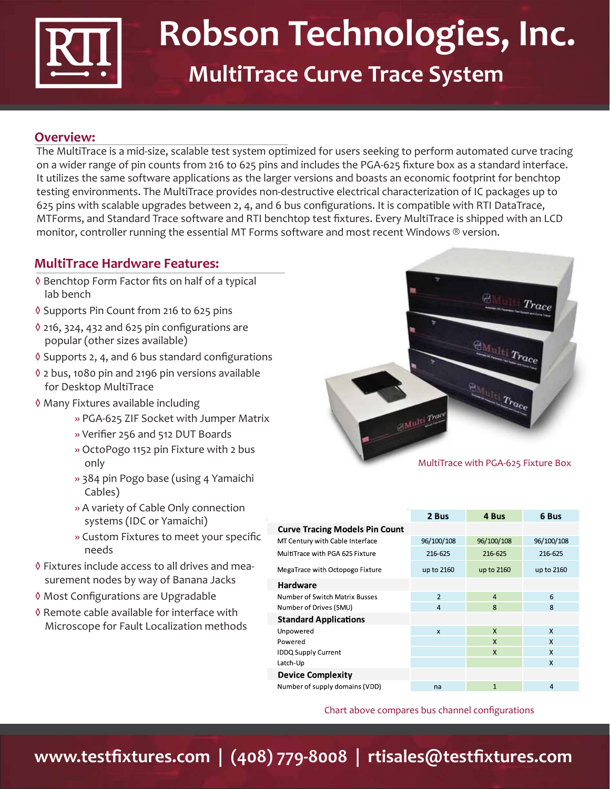

## **Robson Technologies, Inc. MultiTrace Curve Trace System**

## **Overview:**

The MultiTrace is a mid-size, scalable test system optimized for users seeking to perform automated curve tracing on a wider range of pin counts from 216 to 625 pins and includes the PGA-625 fixture box as a standard interface. It utilizes the same software applications as the larger versions and boasts an economic footprint for benchtop testing environments. The MultiTrace provides non-destructive electrical characterization of IC packages up to 625 pins with scalable upgrades between 2, 4, and 6 bus configurations. It is compatible with RTI DataTrace, MTForms, and Standard Trace software and RTI benchtop test fixtures. Every MultiTrace is shipped with an LCD monitor, controller running the essential MT Forms software and most recent Windows ® version.

## **MultiTrace Hardware Features:**

- ◊ Benchtop Form Factor fits on half of a typical lab bench
- ◊ Supports Pin Count from 216 to 625 pins
- ◊ 216, 324, 432 and 625 pin configurations are popular (other sizes available)
- ◊ Supports 2, 4, and 6 bus standard configurations
- ◊ 2 bus, 1080 pin and 2196 pin versions available for Desktop MultiTrace
- ◊ Many Fixtures available including
	- » PGA-625 ZIF Socket with Jumper Matrix
	- » Verifier 256 and 512 DUT Boards
	- » OctoPogo 1152 pin Fixture with 2 bus only
	- » 384 pin Pogo base (using 4 Yamaichi Cables)
	- » A variety of Cable Only connection systems (IDC or Yamaichi)
	- » Custom Fixtures to meet your specific needs
- ◊ Fixtures include access to all drives and measurement nodes by way of Banana Jacks
- ◊ Most Configurations are Upgradable
- ◊ Remote cable available for interface with Microscope for Fault Localization methods



|                                       | 2 Bus          | 4 Bus          | 6 Bus                     |  |
|---------------------------------------|----------------|----------------|---------------------------|--|
| <b>Curve Tracing Models Pin Count</b> |                |                |                           |  |
| MT Century with Cable Interface       | 96/100/108     | 96/100/108     | 96/100/108                |  |
| MultiTrace with PGA 625 Fixture       | 216-625        | 216-625        | 216-625                   |  |
| MegaTrace with Octopogo Fixture       | up to 2160     | up to 2160     | up to 2160                |  |
| Hardware                              |                |                |                           |  |
| Number of Switch Matrix Busses        | $\overline{2}$ | $\overline{4}$ | 6                         |  |
| Number of Drives (SMU)                | 4              | 8              | 8                         |  |
| <b>Standard Applications</b>          |                |                |                           |  |
| Unpowered                             | $\mathsf{x}$   | $\mathsf{x}$   | $\boldsymbol{\mathsf{x}}$ |  |
| Powered                               |                | $\mathsf{x}$   | $\mathsf{x}$              |  |
| <b>IDDQ Supply Current</b>            |                | $\mathsf{x}$   | X                         |  |
| Latch-Up                              |                |                | X                         |  |
| <b>Device Complexity</b>              |                |                |                           |  |
| Number of supply domains (VDD)        | na             | 1              | $\overline{4}$            |  |

Chart above compares bus channel configurations